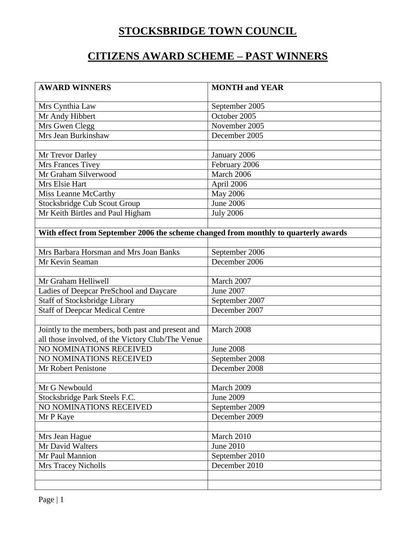## **STOCKSBRIDGE TOWN COUNCIL**

#### **CITIZENS AWARD SCHEME – PAST WINNERS**

| <b>AWARD WINNERS</b>                                                                | <b>MONTH and YEAR</b> |
|-------------------------------------------------------------------------------------|-----------------------|
| Mrs Cynthia Law                                                                     | September 2005        |
| Mr Andy Hibbert                                                                     | October 2005          |
| Mrs Gwen Clegg                                                                      | November 2005         |
| Mrs Jean Burkinshaw                                                                 | December 2005         |
|                                                                                     |                       |
| Mr Trevor Darley                                                                    | January 2006          |
| Mrs Frances Tivey                                                                   | February 2006         |
| Mr Graham Silverwood                                                                | March 2006            |
| Mrs Elsie Hart                                                                      | April 2006            |
| Miss Leanne McCarthy                                                                | <b>May 2006</b>       |
| <b>Stocksbridge Cub Scout Group</b>                                                 | <b>June 2006</b>      |
| Mr Keith Birtles and Paul Higham                                                    | <b>July 2006</b>      |
|                                                                                     |                       |
| With effect from September 2006 the scheme changed from monthly to quarterly awards |                       |
|                                                                                     |                       |
| Mrs Barbara Horsman and Mrs Joan Banks                                              | September 2006        |
| Mr Kevin Seaman                                                                     | December 2006         |
|                                                                                     |                       |
| Mr Graham Helliwell                                                                 | March 2007            |
| Ladies of Deepcar PreSchool and Daycare                                             | <b>June 2007</b>      |
| <b>Staff of Stocksbridge Library</b>                                                | September 2007        |
| <b>Staff of Deepcar Medical Centre</b>                                              | December 2007         |
|                                                                                     |                       |
| Jointly to the members, both past and present and                                   | March 2008            |
| all those involved, of the Victory Club/The Venue                                   |                       |
| NO NOMINATIONS RECEIVED                                                             | <b>June 2008</b>      |
| NO NOMINATIONS RECEIVED                                                             | September 2008        |
| Mr Robert Penistone                                                                 | December 2008         |
|                                                                                     |                       |
| Mr G Newbould                                                                       | March 2009            |
| Stocksbridge Park Steels F.C.                                                       | <b>June 2009</b>      |
| NO NOMINATIONS RECEIVED                                                             | September 2009        |
| Mr P Kaye                                                                           | December 2009         |
|                                                                                     |                       |
| Mrs Jean Hague                                                                      | March 2010            |
| Mr David Walters                                                                    | <b>June 2010</b>      |
| Mr Paul Mannion                                                                     | September 2010        |
| <b>Mrs Tracey Nicholls</b>                                                          | December 2010         |
|                                                                                     |                       |
|                                                                                     |                       |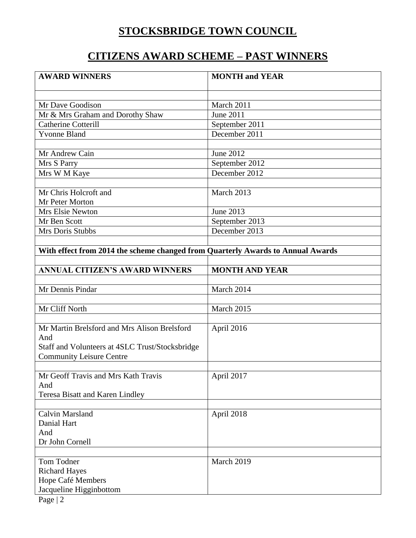# **STOCKSBRIDGE TOWN COUNCIL**

#### **CITIZENS AWARD SCHEME – PAST WINNERS**

| <b>AWARD WINNERS</b>                                                            | <b>MONTH and YEAR</b> |
|---------------------------------------------------------------------------------|-----------------------|
|                                                                                 |                       |
| Mr Dave Goodison                                                                | March 2011            |
| Mr & Mrs Graham and Dorothy Shaw                                                | June 2011             |
| <b>Catherine Cotterill</b>                                                      | September 2011        |
| <b>Yvonne Bland</b>                                                             | December 2011         |
|                                                                                 |                       |
| Mr Andrew Cain                                                                  | June 2012             |
| Mrs S Parry                                                                     | September 2012        |
| Mrs W M Kaye                                                                    | December 2012         |
|                                                                                 |                       |
| Mr Chris Holcroft and                                                           | March 2013            |
| Mr Peter Morton                                                                 |                       |
| Mrs Elsie Newton                                                                | June 2013             |
| Mr Ben Scott                                                                    | September 2013        |
| Mrs Doris Stubbs                                                                | December 2013         |
|                                                                                 |                       |
| With effect from 2014 the scheme changed from Quarterly Awards to Annual Awards |                       |
|                                                                                 |                       |
| <b>ANNUAL CITIZEN'S AWARD WINNERS</b>                                           | <b>MONTH AND YEAR</b> |
| Mr Dennis Pindar                                                                | March 2014            |
|                                                                                 |                       |
| Mr Cliff North                                                                  | March 2015            |
|                                                                                 |                       |
| Mr Martin Brelsford and Mrs Alison Brelsford                                    | April 2016            |
| And                                                                             |                       |
| Staff and Volunteers at 4SLC Trust/Stocksbridge                                 |                       |
| <b>Community Leisure Centre</b>                                                 |                       |
|                                                                                 |                       |
| Mr Geoff Travis and Mrs Kath Travis                                             | April 2017            |
| And                                                                             |                       |
| <b>Teresa Bisatt and Karen Lindley</b>                                          |                       |
|                                                                                 |                       |
| Calvin Marsland                                                                 | April 2018            |
| Danial Hart                                                                     |                       |
| And                                                                             |                       |
| Dr John Cornell                                                                 |                       |
| Tom Todner                                                                      | March 2019            |
| <b>Richard Hayes</b>                                                            |                       |
| Hope Café Members                                                               |                       |
| Jacqueline Higginbottom                                                         |                       |
| Page   2                                                                        |                       |